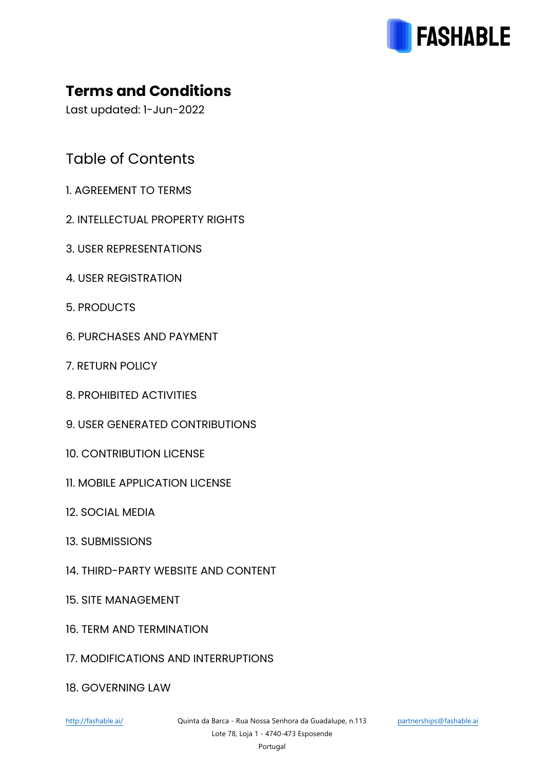

# **Terms and Conditions**

Last updated: 1-Jun-2022

## Table of Contents

- 1. AGREEMENT TO TERMS
- 2. INTELLECTUAL PROPERTY RIGHTS
- 3. USER REPRESENTATIONS
- 4. USER REGISTRATION
- 5. PRODUCTS
- 6. PURCHASES AND PAYMENT
- 7. RETURN POLICY
- 8. PROHIBITED ACTIVITIES
- 9. USER GENERATED CONTRIBUTIONS
- 10. CONTRIBUTION LICENSE
- 11. MOBILE APPLICATION LICENSE
- 12. SOCIAL MEDIA
- 13. SUBMISSIONS
- 14. THIRD-PARTY WEBSITE AND CONTENT
- 15. SITE MANAGEMENT
- 16. TERM AND TERMINATION
- 17. MODIFICATIONS AND INTERRUPTIONS
- 18. GOVERNING LAW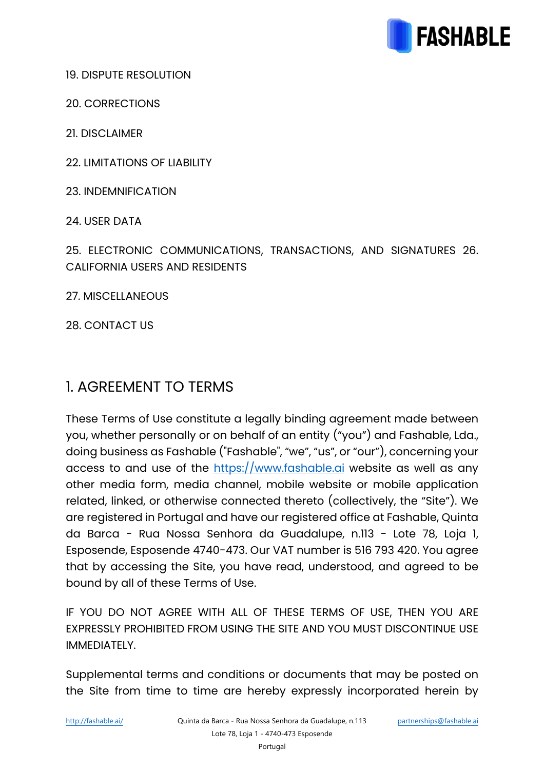

19. DISPUTE RESOLUTION

20. CORRECTIONS

21. DISCLAIMER

22. LIMITATIONS OF LIABILITY

23. INDEMNIFICATION

24. USER DATA

25. ELECTRONIC COMMUNICATIONS, TRANSACTIONS, AND SIGNATURES 26. CALIFORNIA USERS AND RESIDENTS

27. MISCELLANEOUS

28. CONTACT US

### 1. AGREEMENT TO TERMS

These Terms of Use constitute a legally binding agreement made between you, whether personally or on behalf of an entity ("you") and Fashable, Lda., doing business as Fashable ("Fashable", "we", "us", or "our"), concerning your access to and use of the https://www.fashable.ai website as well as any other media form, media channel, mobile website or mobile application related, linked, or otherwise connected thereto (collectively, the "Site"). We are registered in Portugal and have our registered office at Fashable, Quinta da Barca - Rua Nossa Senhora da Guadalupe, n.113 - Lote 78, Loja 1, Esposende, Esposende 4740-473. Our VAT number is 516 793 420. You agree that by accessing the Site, you have read, understood, and agreed to be bound by all of these Terms of Use.

IF YOU DO NOT AGREE WITH ALL OF THESE TERMS OF USE, THEN YOU ARE EXPRESSLY PROHIBITED FROM USING THE SITE AND YOU MUST DISCONTINUE USE IMMEDIATELY.

Supplemental terms and conditions or documents that may be posted on the Site from time to time are hereby expressly incorporated herein by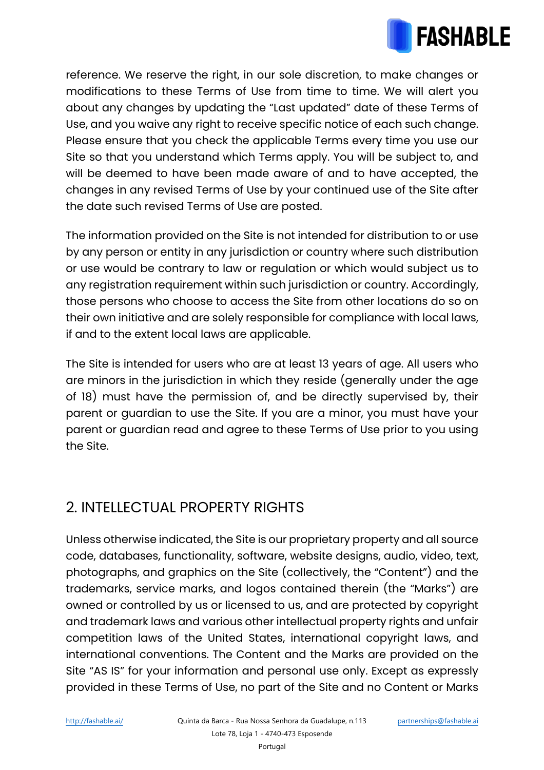

reference. We reserve the right, in our sole discretion, to make changes or modifications to these Terms of Use from time to time. We will alert you about any changes by updating the "Last updated" date of these Terms of Use, and you waive any right to receive specific notice of each such change. Please ensure that you check the applicable Terms every time you use our Site so that you understand which Terms apply. You will be subject to, and will be deemed to have been made aware of and to have accepted, the changes in any revised Terms of Use by your continued use of the Site after the date such revised Terms of Use are posted.

The information provided on the Site is not intended for distribution to or use by any person or entity in any jurisdiction or country where such distribution or use would be contrary to law or regulation or which would subject us to any registration requirement within such jurisdiction or country. Accordingly, those persons who choose to access the Site from other locations do so on their own initiative and are solely responsible for compliance with local laws, if and to the extent local laws are applicable.

The Site is intended for users who are at least 13 years of age. All users who are minors in the jurisdiction in which they reside (generally under the age of 18) must have the permission of, and be directly supervised by, their parent or guardian to use the Site. If you are a minor, you must have your parent or guardian read and agree to these Terms of Use prior to you using the Site.

## 2. INTELLECTUAL PROPERTY RIGHTS

Unless otherwise indicated, the Site is our proprietary property and all source code, databases, functionality, software, website designs, audio, video, text, photographs, and graphics on the Site (collectively, the "Content") and the trademarks, service marks, and logos contained therein (the "Marks") are owned or controlled by us or licensed to us, and are protected by copyright and trademark laws and various other intellectual property rights and unfair competition laws of the United States, international copyright laws, and international conventions. The Content and the Marks are provided on the Site "AS IS" for your information and personal use only. Except as expressly provided in these Terms of Use, no part of the Site and no Content or Marks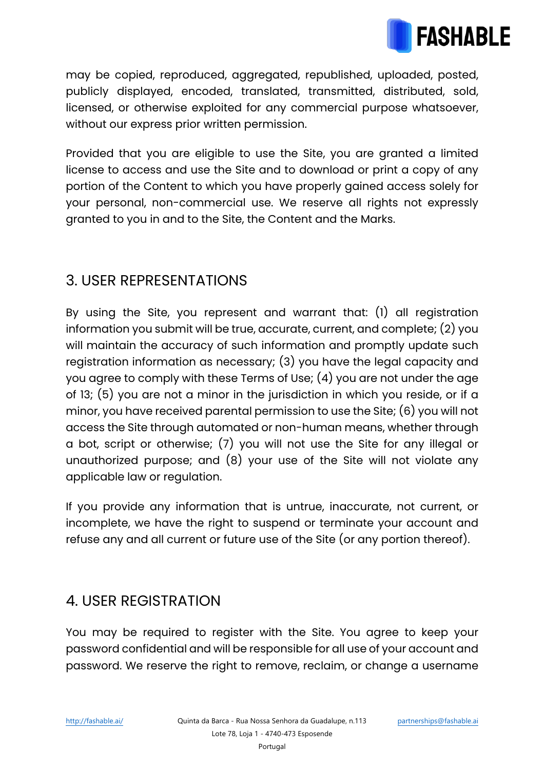

may be copied, reproduced, aggregated, republished, uploaded, posted, publicly displayed, encoded, translated, transmitted, distributed, sold, licensed, or otherwise exploited for any commercial purpose whatsoever, without our express prior written permission.

Provided that you are eligible to use the Site, you are granted a limited license to access and use the Site and to download or print a copy of any portion of the Content to which you have properly gained access solely for your personal, non-commercial use. We reserve all rights not expressly granted to you in and to the Site, the Content and the Marks.

## 3. USER REPRESENTATIONS

By using the Site, you represent and warrant that: (1) all registration information you submit will be true, accurate, current, and complete; (2) you will maintain the accuracy of such information and promptly update such registration information as necessary; (3) you have the legal capacity and you agree to comply with these Terms of Use; (4) you are not under the age of 13; (5) you are not a minor in the jurisdiction in which you reside, or if a minor, you have received parental permission to use the Site; (6) you will not access the Site through automated or non-human means, whether through a bot, script or otherwise; (7) you will not use the Site for any illegal or unauthorized purpose; and (8) your use of the Site will not violate any applicable law or regulation.

If you provide any information that is untrue, inaccurate, not current, or incomplete, we have the right to suspend or terminate your account and refuse any and all current or future use of the Site (or any portion thereof).

## 4. USER REGISTRATION

You may be required to register with the Site. You agree to keep your password confidential and will be responsible for all use of your account and password. We reserve the right to remove, reclaim, or change a username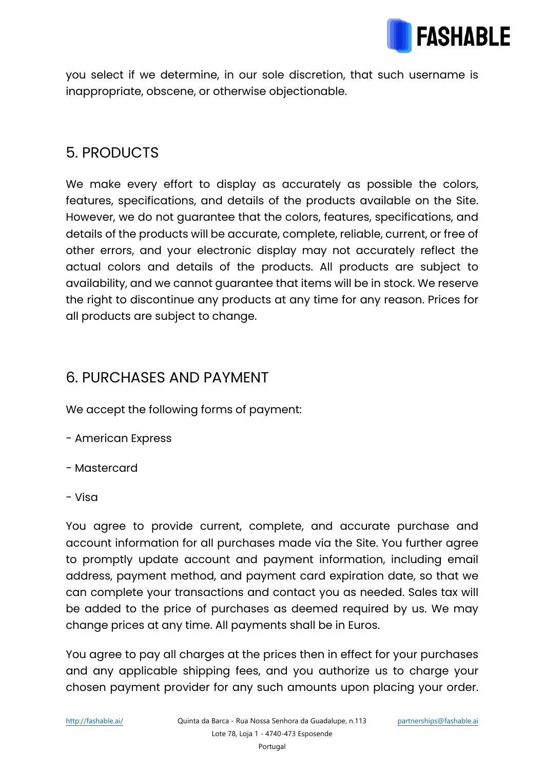

you select if we determine, in our sole discretion, that such username is inappropriate, obscene, or otherwise objectionable.

## 5. PRODUCTS

We make every effort to display as accurately as possible the colors, features, specifications, and details of the products available on the Site. However, we do not guarantee that the colors, features, specifications, and details of the products will be accurate, complete, reliable, current, or free of other errors, and your electronic display may not accurately reflect the actual colors and details of the products. All products are subject to availability, and we cannot guarantee that items will be in stock. We reserve the right to discontinue any products at any time for any reason. Prices for all products are subject to change.

## 6. PURCHASES AND PAYMENT

We accept the following forms of payment:

- American Express
- Mastercard
- Visa

You agree to provide current, complete, and accurate purchase and account information for all purchases made via the Site. You further agree to promptly update account and payment information, including email address, payment method, and payment card expiration date, so that we can complete your transactions and contact you as needed. Sales tax will be added to the price of purchases as deemed required by us. We may change prices at any time. All payments shall be in Euros.

You agree to pay all charges at the prices then in effect for your purchases and any applicable shipping fees, and you authorize us to charge your chosen payment provider for any such amounts upon placing your order.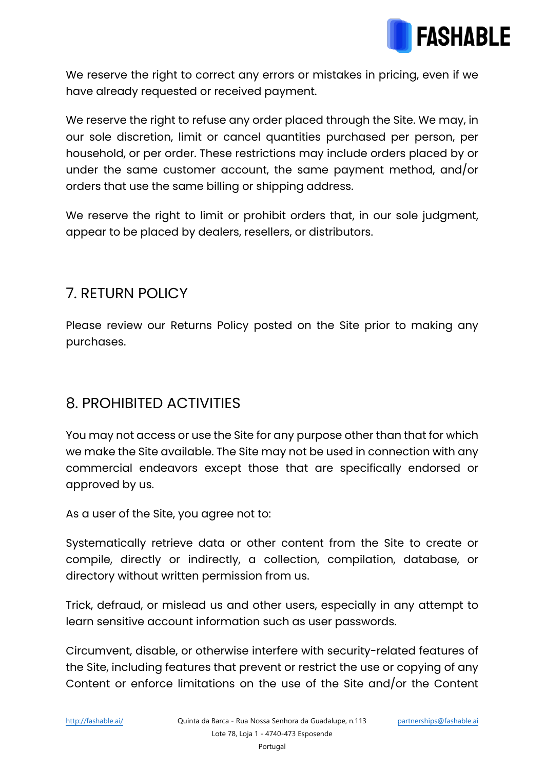

We reserve the right to correct any errors or mistakes in pricing, even if we have already requested or received payment.

We reserve the right to refuse any order placed through the Site. We may, in our sole discretion, limit or cancel quantities purchased per person, per household, or per order. These restrictions may include orders placed by or under the same customer account, the same payment method, and/or orders that use the same billing or shipping address.

We reserve the right to limit or prohibit orders that, in our sole judgment, appear to be placed by dealers, resellers, or distributors.

## 7. RETURN POLICY

Please review our Returns Policy posted on the Site prior to making any purchases.

## 8. PROHIBITED ACTIVITIES

You may not access or use the Site for any purpose other than that for which we make the Site available. The Site may not be used in connection with any commercial endeavors except those that are specifically endorsed or approved by us.

As a user of the Site, you agree not to:

Systematically retrieve data or other content from the Site to create or compile, directly or indirectly, a collection, compilation, database, or directory without written permission from us.

Trick, defraud, or mislead us and other users, especially in any attempt to learn sensitive account information such as user passwords.

Circumvent, disable, or otherwise interfere with security-related features of the Site, including features that prevent or restrict the use or copying of any Content or enforce limitations on the use of the Site and/or the Content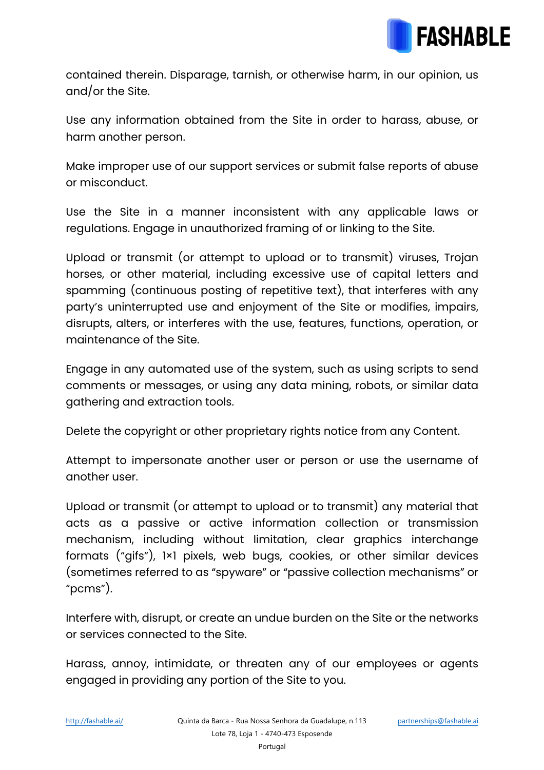

contained therein. Disparage, tarnish, or otherwise harm, in our opinion, us and/or the Site.

Use any information obtained from the Site in order to harass, abuse, or harm another person.

Make improper use of our support services or submit false reports of abuse or misconduct.

Use the Site in a manner inconsistent with any applicable laws or regulations. Engage in unauthorized framing of or linking to the Site.

Upload or transmit (or attempt to upload or to transmit) viruses, Trojan horses, or other material, including excessive use of capital letters and spamming (continuous posting of repetitive text), that interferes with any party's uninterrupted use and enjoyment of the Site or modifies, impairs, disrupts, alters, or interferes with the use, features, functions, operation, or maintenance of the Site.

Engage in any automated use of the system, such as using scripts to send comments or messages, or using any data mining, robots, or similar data gathering and extraction tools.

Delete the copyright or other proprietary rights notice from any Content.

Attempt to impersonate another user or person or use the username of another user.

Upload or transmit (or attempt to upload or to transmit) any material that acts as a passive or active information collection or transmission mechanism, including without limitation, clear graphics interchange formats ("gifs"), 1×1 pixels, web bugs, cookies, or other similar devices (sometimes referred to as "spyware" or "passive collection mechanisms" or "pcms").

Interfere with, disrupt, or create an undue burden on the Site or the networks or services connected to the Site.

Harass, annoy, intimidate, or threaten any of our employees or agents engaged in providing any portion of the Site to you.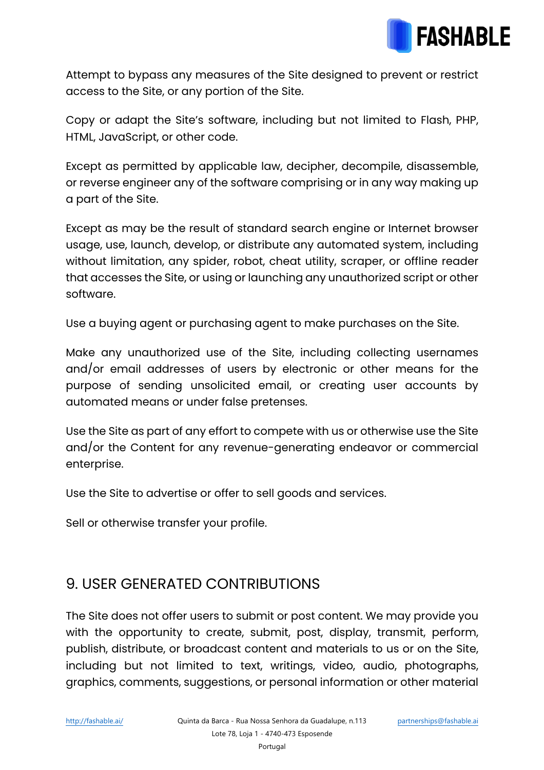

Attempt to bypass any measures of the Site designed to prevent or restrict access to the Site, or any portion of the Site.

Copy or adapt the Site's software, including but not limited to Flash, PHP, HTML, JavaScript, or other code.

Except as permitted by applicable law, decipher, decompile, disassemble, or reverse engineer any of the software comprising or in any way making up a part of the Site.

Except as may be the result of standard search engine or Internet browser usage, use, launch, develop, or distribute any automated system, including without limitation, any spider, robot, cheat utility, scraper, or offline reader that accesses the Site, or using or launching any unauthorized script or other software.

Use a buying agent or purchasing agent to make purchases on the Site.

Make any unauthorized use of the Site, including collecting usernames and/or email addresses of users by electronic or other means for the purpose of sending unsolicited email, or creating user accounts by automated means or under false pretenses.

Use the Site as part of any effort to compete with us or otherwise use the Site and/or the Content for any revenue-generating endeavor or commercial enterprise.

Use the Site to advertise or offer to sell goods and services.

Sell or otherwise transfer your profile.

## 9. USER GENERATED CONTRIBUTIONS

The Site does not offer users to submit or post content. We may provide you with the opportunity to create, submit, post, display, transmit, perform, publish, distribute, or broadcast content and materials to us or on the Site, including but not limited to text, writings, video, audio, photographs, graphics, comments, suggestions, or personal information or other material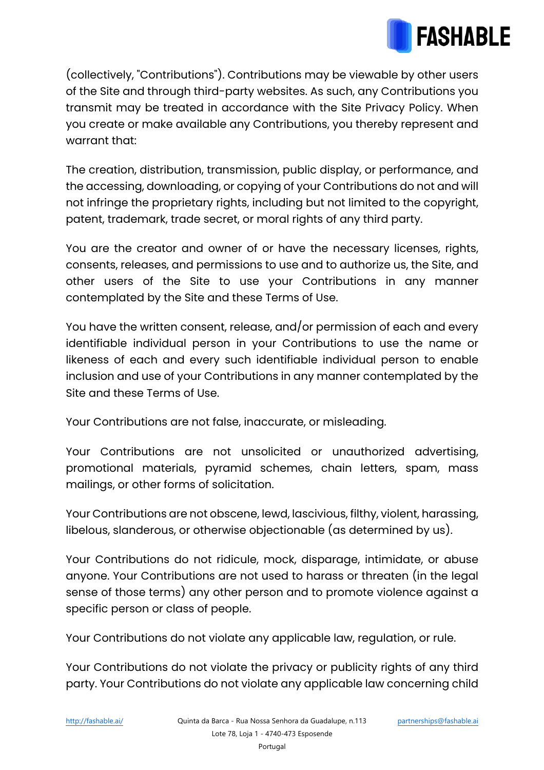

(collectively, "Contributions"). Contributions may be viewable by other users of the Site and through third-party websites. As such, any Contributions you transmit may be treated in accordance with the Site Privacy Policy. When you create or make available any Contributions, you thereby represent and warrant that:

The creation, distribution, transmission, public display, or performance, and the accessing, downloading, or copying of your Contributions do not and will not infringe the proprietary rights, including but not limited to the copyright, patent, trademark, trade secret, or moral rights of any third party.

You are the creator and owner of or have the necessary licenses, rights, consents, releases, and permissions to use and to authorize us, the Site, and other users of the Site to use your Contributions in any manner contemplated by the Site and these Terms of Use.

You have the written consent, release, and/or permission of each and every identifiable individual person in your Contributions to use the name or likeness of each and every such identifiable individual person to enable inclusion and use of your Contributions in any manner contemplated by the Site and these Terms of Use.

Your Contributions are not false, inaccurate, or misleading.

Your Contributions are not unsolicited or unauthorized advertising, promotional materials, pyramid schemes, chain letters, spam, mass mailings, or other forms of solicitation.

Your Contributions are not obscene, lewd, lascivious, filthy, violent, harassing, libelous, slanderous, or otherwise objectionable (as determined by us).

Your Contributions do not ridicule, mock, disparage, intimidate, or abuse anyone. Your Contributions are not used to harass or threaten (in the legal sense of those terms) any other person and to promote violence against a specific person or class of people.

Your Contributions do not violate any applicable law, regulation, or rule.

Your Contributions do not violate the privacy or publicity rights of any third party. Your Contributions do not violate any applicable law concerning child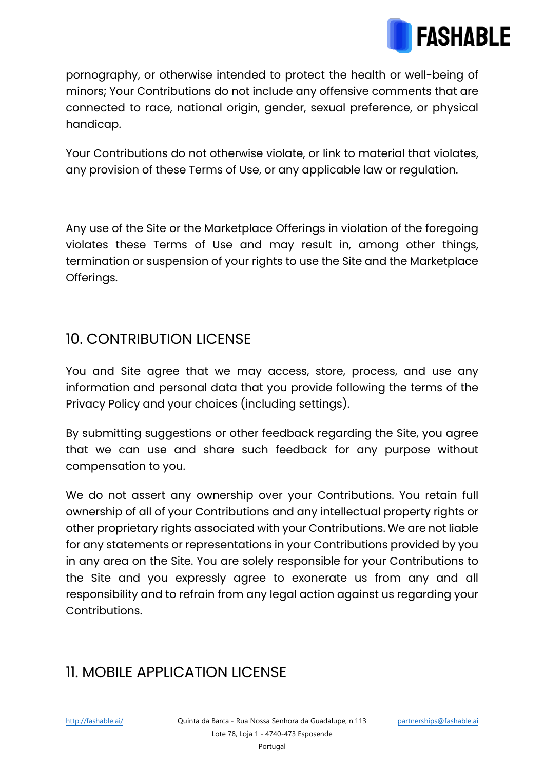

pornography, or otherwise intended to protect the health or well-being of minors; Your Contributions do not include any offensive comments that are connected to race, national origin, gender, sexual preference, or physical handicap.

Your Contributions do not otherwise violate, or link to material that violates, any provision of these Terms of Use, or any applicable law or regulation.

Any use of the Site or the Marketplace Offerings in violation of the foregoing violates these Terms of Use and may result in, among other things, termination or suspension of your rights to use the Site and the Marketplace Offerings.

## 10. CONTRIBUTION LICENSE

You and Site agree that we may access, store, process, and use any information and personal data that you provide following the terms of the Privacy Policy and your choices (including settings).

By submitting suggestions or other feedback regarding the Site, you agree that we can use and share such feedback for any purpose without compensation to you.

We do not assert any ownership over your Contributions. You retain full ownership of all of your Contributions and any intellectual property rights or other proprietary rights associated with your Contributions. We are not liable for any statements or representations in your Contributions provided by you in any area on the Site. You are solely responsible for your Contributions to the Site and you expressly agree to exonerate us from any and all responsibility and to refrain from any legal action against us regarding your **Contributions** 

## 11. MOBILE APPLICATION LICENSE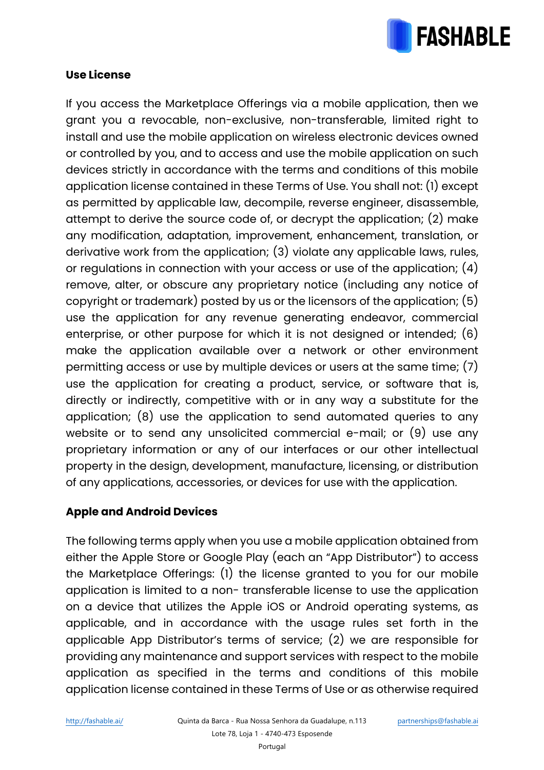

#### **Use License**

If you access the Marketplace Offerings via a mobile application, then we grant you a revocable, non-exclusive, non-transferable, limited right to install and use the mobile application on wireless electronic devices owned or controlled by you, and to access and use the mobile application on such devices strictly in accordance with the terms and conditions of this mobile application license contained in these Terms of Use. You shall not: (1) except as permitted by applicable law, decompile, reverse engineer, disassemble, attempt to derive the source code of, or decrypt the application; (2) make any modification, adaptation, improvement, enhancement, translation, or derivative work from the application; (3) violate any applicable laws, rules, or regulations in connection with your access or use of the application; (4) remove, alter, or obscure any proprietary notice (including any notice of copyright or trademark) posted by us or the licensors of the application; (5) use the application for any revenue generating endeavor, commercial enterprise, or other purpose for which it is not designed or intended; (6) make the application available over a network or other environment permitting access or use by multiple devices or users at the same time; (7) use the application for creating a product, service, or software that is, directly or indirectly, competitive with or in any way a substitute for the application; (8) use the application to send automated queries to any website or to send any unsolicited commercial e-mail; or (9) use any proprietary information or any of our interfaces or our other intellectual property in the design, development, manufacture, licensing, or distribution of any applications, accessories, or devices for use with the application.

#### **Apple and Android Devices**

The following terms apply when you use a mobile application obtained from either the Apple Store or Google Play (each an "App Distributor") to access the Marketplace Offerings: (1) the license granted to you for our mobile application is limited to a non- transferable license to use the application on a device that utilizes the Apple iOS or Android operating systems, as applicable, and in accordance with the usage rules set forth in the applicable App Distributor's terms of service; (2) we are responsible for providing any maintenance and support services with respect to the mobile application as specified in the terms and conditions of this mobile application license contained in these Terms of Use or as otherwise required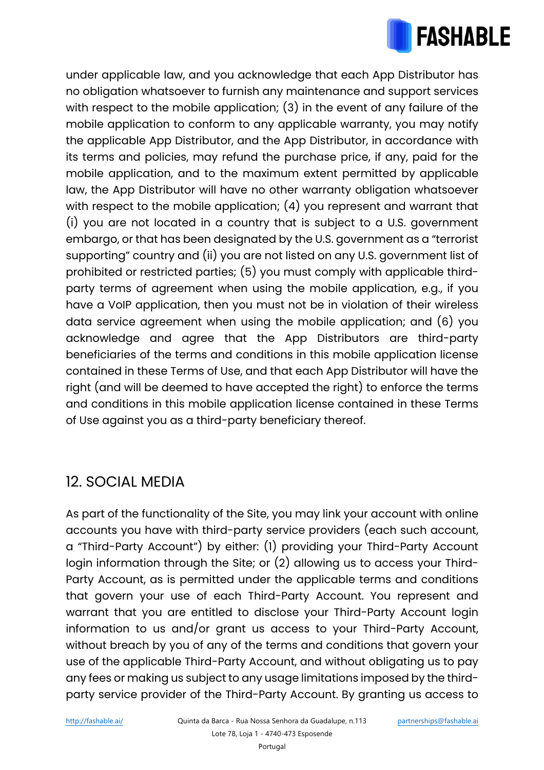

under applicable law, and you acknowledge that each App Distributor has no obligation whatsoever to furnish any maintenance and support services with respect to the mobile application; (3) in the event of any failure of the mobile application to conform to any applicable warranty, you may notify the applicable App Distributor, and the App Distributor, in accordance with its terms and policies, may refund the purchase price, if any, paid for the mobile application, and to the maximum extent permitted by applicable law, the App Distributor will have no other warranty obligation whatsoever with respect to the mobile application; (4) you represent and warrant that (i) you are not located in a country that is subject to a U.S. government embargo, or that has been designated by the U.S. government as a "terrorist supporting" country and (ii) you are not listed on any U.S. government list of prohibited or restricted parties; (5) you must comply with applicable thirdparty terms of agreement when using the mobile application, e.g., if you have a VoIP application, then you must not be in violation of their wireless data service agreement when using the mobile application; and (6) you acknowledge and agree that the App Distributors are third-party beneficiaries of the terms and conditions in this mobile application license contained in these Terms of Use, and that each App Distributor will have the right (and will be deemed to have accepted the right) to enforce the terms and conditions in this mobile application license contained in these Terms of Use against you as a third-party beneficiary thereof.

## 12. SOCIAL MEDIA

As part of the functionality of the Site, you may link your account with online accounts you have with third-party service providers (each such account, a "Third-Party Account") by either: (1) providing your Third-Party Account login information through the Site; or (2) allowing us to access your Third-Party Account, as is permitted under the applicable terms and conditions that govern your use of each Third-Party Account. You represent and warrant that you are entitled to disclose your Third-Party Account login information to us and/or grant us access to your Third-Party Account, without breach by you of any of the terms and conditions that govern your use of the applicable Third-Party Account, and without obligating us to pay any fees or making us subject to any usage limitations imposed by the thirdparty service provider of the Third-Party Account. By granting us access to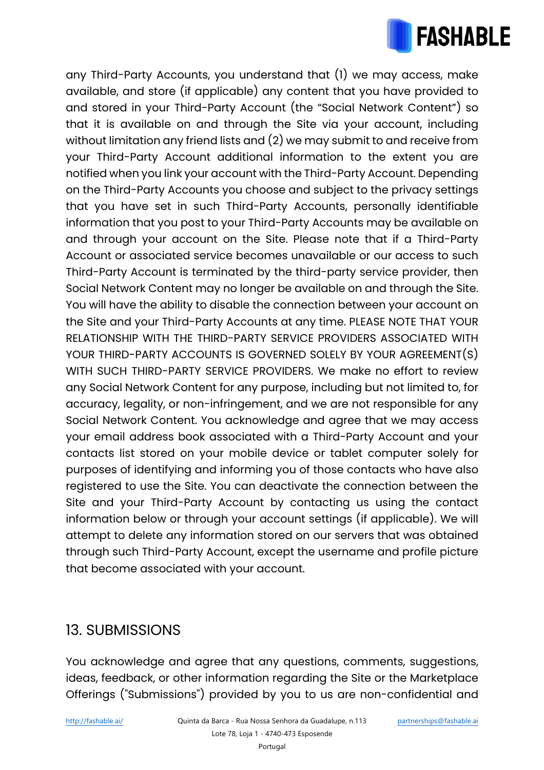

any Third-Party Accounts, you understand that (1) we may access, make available, and store (if applicable) any content that you have provided to and stored in your Third-Party Account (the "Social Network Content") so that it is available on and through the Site via your account, including without limitation any friend lists and (2) we may submit to and receive from your Third-Party Account additional information to the extent you are notified when you link your account with the Third-Party Account. Depending on the Third-Party Accounts you choose and subject to the privacy settings that you have set in such Third-Party Accounts, personally identifiable information that you post to your Third-Party Accounts may be available on and through your account on the Site. Please note that if a Third-Party Account or associated service becomes unavailable or our access to such Third-Party Account is terminated by the third-party service provider, then Social Network Content may no longer be available on and through the Site. You will have the ability to disable the connection between your account on the Site and your Third-Party Accounts at any time. PLEASE NOTE THAT YOUR RELATIONSHIP WITH THE THIRD-PARTY SERVICE PROVIDERS ASSOCIATED WITH YOUR THIRD-PARTY ACCOUNTS IS GOVERNED SOLELY BY YOUR AGREEMENT(S) WITH SUCH THIRD-PARTY SERVICE PROVIDERS. We make no effort to review any Social Network Content for any purpose, including but not limited to, for accuracy, legality, or non-infringement, and we are not responsible for any Social Network Content. You acknowledge and agree that we may access your email address book associated with a Third-Party Account and your contacts list stored on your mobile device or tablet computer solely for purposes of identifying and informing you of those contacts who have also registered to use the Site. You can deactivate the connection between the Site and your Third-Party Account by contacting us using the contact information below or through your account settings (if applicable). We will attempt to delete any information stored on our servers that was obtained through such Third-Party Account, except the username and profile picture that become associated with your account.

## 13. SUBMISSIONS

You acknowledge and agree that any questions, comments, suggestions, ideas, feedback, or other information regarding the Site or the Marketplace Offerings ("Submissions") provided by you to us are non-confidential and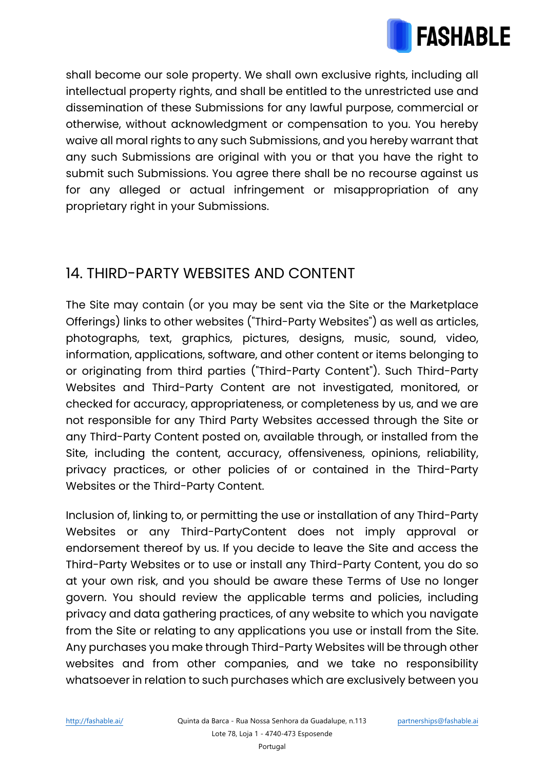

shall become our sole property. We shall own exclusive rights, including all intellectual property rights, and shall be entitled to the unrestricted use and dissemination of these Submissions for any lawful purpose, commercial or otherwise, without acknowledgment or compensation to you. You hereby waive all moral rights to any such Submissions, and you hereby warrant that any such Submissions are original with you or that you have the right to submit such Submissions. You agree there shall be no recourse against us for any alleged or actual infringement or misappropriation of any proprietary right in your Submissions.

## 14. THIRD-PARTY WEBSITES AND CONTENT

The Site may contain (or you may be sent via the Site or the Marketplace Offerings) links to other websites ("Third-Party Websites") as well as articles, photographs, text, graphics, pictures, designs, music, sound, video, information, applications, software, and other content or items belonging to or originating from third parties ("Third-Party Content"). Such Third-Party Websites and Third-Party Content are not investigated, monitored, or checked for accuracy, appropriateness, or completeness by us, and we are not responsible for any Third Party Websites accessed through the Site or any Third-Party Content posted on, available through, or installed from the Site, including the content, accuracy, offensiveness, opinions, reliability, privacy practices, or other policies of or contained in the Third-Party Websites or the Third-Party Content.

Inclusion of, linking to, or permitting the use or installation of any Third-Party Websites or any Third-PartyContent does not imply approval or endorsement thereof by us. If you decide to leave the Site and access the Third-Party Websites or to use or install any Third-Party Content, you do so at your own risk, and you should be aware these Terms of Use no longer govern. You should review the applicable terms and policies, including privacy and data gathering practices, of any website to which you navigate from the Site or relating to any applications you use or install from the Site. Any purchases you make through Third-Party Websites will be through other websites and from other companies, and we take no responsibility whatsoever in relation to such purchases which are exclusively between you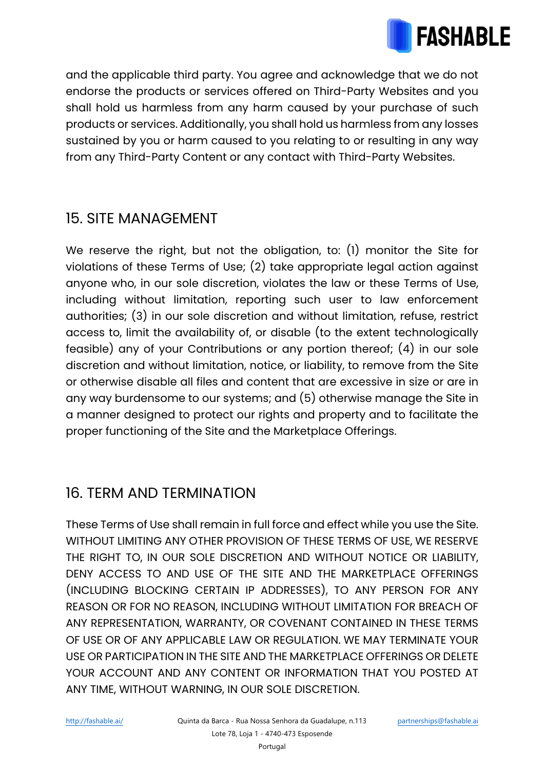

and the applicable third party. You agree and acknowledge that we do not endorse the products or services offered on Third-Party Websites and you shall hold us harmless from any harm caused by your purchase of such products or services. Additionally, you shall hold us harmless from any losses sustained by you or harm caused to you relating to or resulting in any way from any Third-Party Content or any contact with Third-Party Websites.

## 15. SITE MANAGEMENT

We reserve the right, but not the obligation, to: (1) monitor the Site for violations of these Terms of Use; (2) take appropriate legal action against anyone who, in our sole discretion, violates the law or these Terms of Use, including without limitation, reporting such user to law enforcement authorities; (3) in our sole discretion and without limitation, refuse, restrict access to, limit the availability of, or disable (to the extent technologically feasible) any of your Contributions or any portion thereof; (4) in our sole discretion and without limitation, notice, or liability, to remove from the Site or otherwise disable all files and content that are excessive in size or are in any way burdensome to our systems; and (5) otherwise manage the Site in a manner designed to protect our rights and property and to facilitate the proper functioning of the Site and the Marketplace Offerings.

## 16. TERM AND TERMINATION

These Terms of Use shall remain in full force and effect while you use the Site. WITHOUT LIMITING ANY OTHER PROVISION OF THESE TERMS OF USE, WE RESERVE THE RIGHT TO, IN OUR SOLE DISCRETION AND WITHOUT NOTICE OR LIABILITY, DENY ACCESS TO AND USE OF THE SITE AND THE MARKETPLACE OFFERINGS (INCLUDING BLOCKING CERTAIN IP ADDRESSES), TO ANY PERSON FOR ANY REASON OR FOR NO REASON, INCLUDING WITHOUT LIMITATION FOR BREACH OF ANY REPRESENTATION, WARRANTY, OR COVENANT CONTAINED IN THESE TERMS OF USE OR OF ANY APPLICABLE LAW OR REGULATION. WE MAY TERMINATE YOUR USE OR PARTICIPATION IN THE SITE AND THE MARKETPLACE OFFERINGS OR DELETE YOUR ACCOUNT AND ANY CONTENT OR INFORMATION THAT YOU POSTED AT ANY TIME, WITHOUT WARNING, IN OUR SOLE DISCRETION.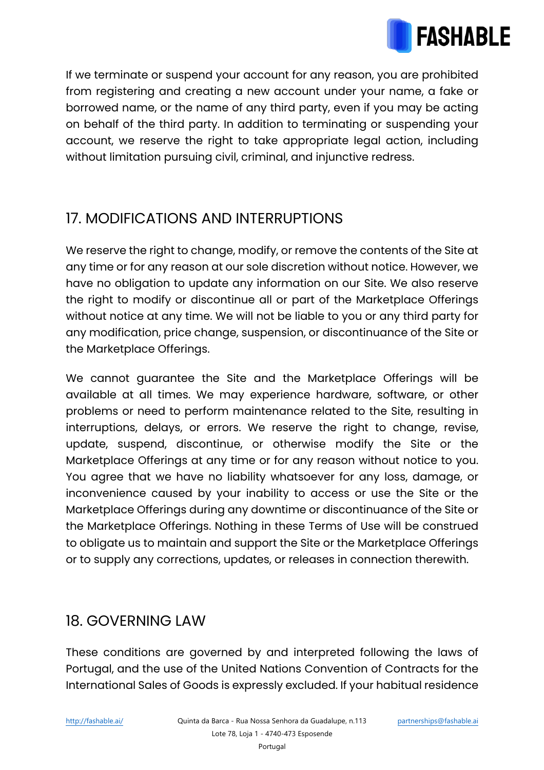

If we terminate or suspend your account for any reason, you are prohibited from registering and creating a new account under your name, a fake or borrowed name, or the name of any third party, even if you may be acting on behalf of the third party. In addition to terminating or suspending your account, we reserve the right to take appropriate legal action, including without limitation pursuing civil, criminal, and injunctive redress.

## 17. MODIFICATIONS AND INTERRUPTIONS

We reserve the right to change, modify, or remove the contents of the Site at any time or for any reason at our sole discretion without notice. However, we have no obligation to update any information on our Site. We also reserve the right to modify or discontinue all or part of the Marketplace Offerings without notice at any time. We will not be liable to you or any third party for any modification, price change, suspension, or discontinuance of the Site or the Marketplace Offerings.

We cannot guarantee the Site and the Marketplace Offerings will be available at all times. We may experience hardware, software, or other problems or need to perform maintenance related to the Site, resulting in interruptions, delays, or errors. We reserve the right to change, revise, update, suspend, discontinue, or otherwise modify the Site or the Marketplace Offerings at any time or for any reason without notice to you. You agree that we have no liability whatsoever for any loss, damage, or inconvenience caused by your inability to access or use the Site or the Marketplace Offerings during any downtime or discontinuance of the Site or the Marketplace Offerings. Nothing in these Terms of Use will be construed to obligate us to maintain and support the Site or the Marketplace Offerings or to supply any corrections, updates, or releases in connection therewith.

## 18. GOVERNING LAW

These conditions are governed by and interpreted following the laws of Portugal, and the use of the United Nations Convention of Contracts for the International Sales of Goods is expressly excluded. If your habitual residence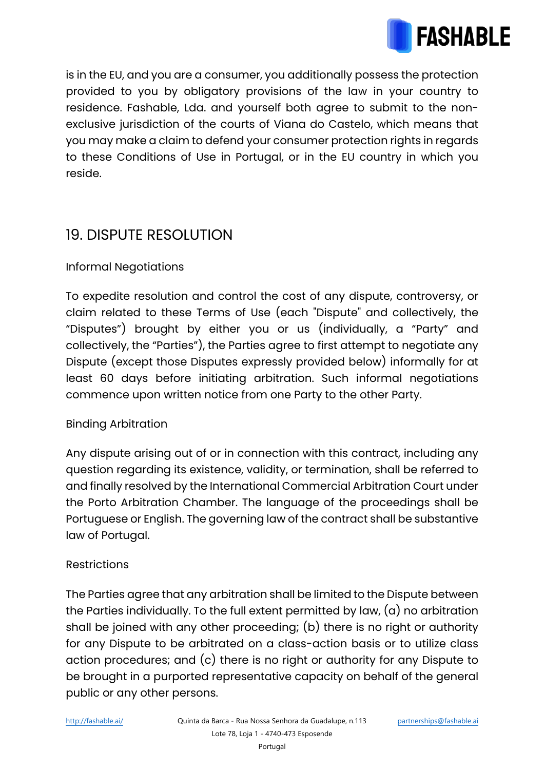

is in the EU, and you are a consumer, you additionally possess the protection provided to you by obligatory provisions of the law in your country to residence. Fashable, Lda. and yourself both agree to submit to the nonexclusive jurisdiction of the courts of Viana do Castelo, which means that you may make a claim to defend your consumer protection rights in regards to these Conditions of Use in Portugal, or in the EU country in which you reside.

## 19. DISPUTE RESOLUTION

#### Informal Negotiations

To expedite resolution and control the cost of any dispute, controversy, or claim related to these Terms of Use (each "Dispute" and collectively, the "Disputes") brought by either you or us (individually, a "Party" and collectively, the "Parties"), the Parties agree to first attempt to negotiate any Dispute (except those Disputes expressly provided below) informally for at least 60 days before initiating arbitration. Such informal negotiations commence upon written notice from one Party to the other Party.

#### Binding Arbitration

Any dispute arising out of or in connection with this contract, including any question regarding its existence, validity, or termination, shall be referred to and finally resolved by the International Commercial Arbitration Court under the Porto Arbitration Chamber. The language of the proceedings shall be Portuguese or English. The governing law of the contract shall be substantive law of Portugal.

#### Restrictions

The Parties agree that any arbitration shall be limited to the Dispute between the Parties individually. To the full extent permitted by law, (a) no arbitration shall be joined with any other proceeding; (b) there is no right or authority for any Dispute to be arbitrated on a class-action basis or to utilize class action procedures; and (c) there is no right or authority for any Dispute to be brought in a purported representative capacity on behalf of the general public or any other persons.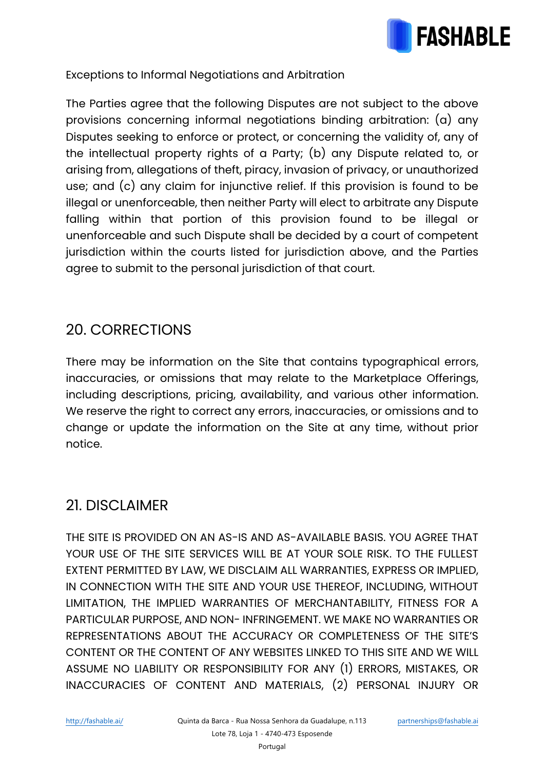

Exceptions to Informal Negotiations and Arbitration

The Parties agree that the following Disputes are not subject to the above provisions concerning informal negotiations binding arbitration: (a) any Disputes seeking to enforce or protect, or concerning the validity of, any of the intellectual property rights of a Party; (b) any Dispute related to, or arising from, allegations of theft, piracy, invasion of privacy, or unauthorized use; and (c) any claim for injunctive relief. If this provision is found to be illegal or unenforceable, then neither Party will elect to arbitrate any Dispute falling within that portion of this provision found to be illegal or unenforceable and such Dispute shall be decided by a court of competent jurisdiction within the courts listed for jurisdiction above, and the Parties agree to submit to the personal jurisdiction of that court.

## 20. CORRECTIONS

There may be information on the Site that contains typographical errors, inaccuracies, or omissions that may relate to the Marketplace Offerings, including descriptions, pricing, availability, and various other information. We reserve the right to correct any errors, inaccuracies, or omissions and to change or update the information on the Site at any time, without prior notice.

## 21. DISCLAIMER

THE SITE IS PROVIDED ON AN AS-IS AND AS-AVAILABLE BASIS. YOU AGREE THAT YOUR USE OF THE SITE SERVICES WILL BE AT YOUR SOLE RISK. TO THE FULLEST EXTENT PERMITTED BY LAW, WE DISCLAIM ALL WARRANTIES, EXPRESS OR IMPLIED, IN CONNECTION WITH THE SITE AND YOUR USE THEREOF, INCLUDING, WITHOUT LIMITATION, THE IMPLIED WARRANTIES OF MERCHANTABILITY, FITNESS FOR A PARTICULAR PURPOSE, AND NON- INFRINGEMENT. WE MAKE NO WARRANTIES OR REPRESENTATIONS ABOUT THE ACCURACY OR COMPLETENESS OF THE SITE'S CONTENT OR THE CONTENT OF ANY WEBSITES LINKED TO THIS SITE AND WE WILL ASSUME NO LIABILITY OR RESPONSIBILITY FOR ANY (1) ERRORS, MISTAKES, OR INACCURACIES OF CONTENT AND MATERIALS, (2) PERSONAL INJURY OR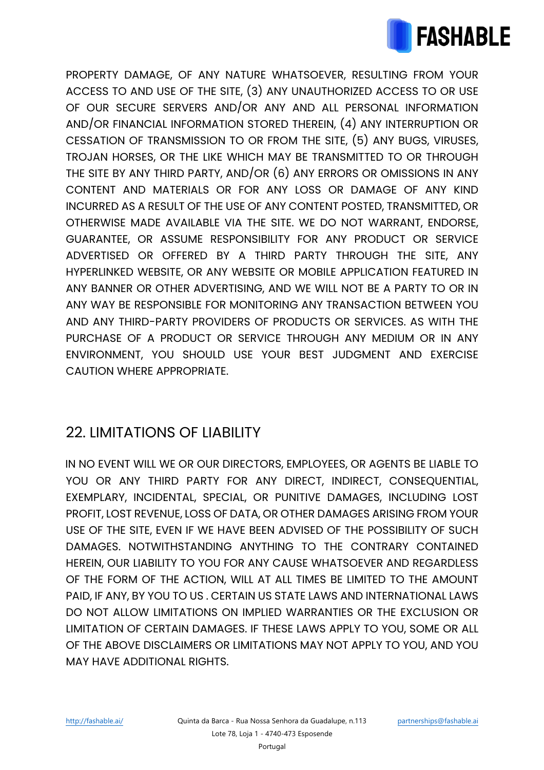

PROPERTY DAMAGE, OF ANY NATURE WHATSOEVER, RESULTING FROM YOUR ACCESS TO AND USE OF THE SITE, (3) ANY UNAUTHORIZED ACCESS TO OR USE OF OUR SECURE SERVERS AND/OR ANY AND ALL PERSONAL INFORMATION AND/OR FINANCIAL INFORMATION STORED THEREIN, (4) ANY INTERRUPTION OR CESSATION OF TRANSMISSION TO OR FROM THE SITE, (5) ANY BUGS, VIRUSES, TROJAN HORSES, OR THE LIKE WHICH MAY BE TRANSMITTED TO OR THROUGH THE SITE BY ANY THIRD PARTY, AND/OR (6) ANY ERRORS OR OMISSIONS IN ANY CONTENT AND MATERIALS OR FOR ANY LOSS OR DAMAGE OF ANY KIND INCURRED AS A RESULT OF THE USE OF ANY CONTENT POSTED, TRANSMITTED, OR OTHERWISE MADE AVAILABLE VIA THE SITE. WE DO NOT WARRANT, ENDORSE, GUARANTEE, OR ASSUME RESPONSIBILITY FOR ANY PRODUCT OR SERVICE ADVERTISED OR OFFERED BY A THIRD PARTY THROUGH THE SITE, ANY HYPERLINKED WEBSITE, OR ANY WEBSITE OR MOBILE APPLICATION FEATURED IN ANY BANNER OR OTHER ADVERTISING, AND WE WILL NOT BE A PARTY TO OR IN ANY WAY BE RESPONSIBLE FOR MONITORING ANY TRANSACTION BETWEEN YOU AND ANY THIRD-PARTY PROVIDERS OF PRODUCTS OR SERVICES. AS WITH THE PURCHASE OF A PRODUCT OR SERVICE THROUGH ANY MEDIUM OR IN ANY ENVIRONMENT, YOU SHOULD USE YOUR BEST JUDGMENT AND EXERCISE CAUTION WHERE APPROPRIATE.

## 22. LIMITATIONS OF LIABILITY

IN NO EVENT WILL WE OR OUR DIRECTORS, EMPLOYEES, OR AGENTS BE LIABLE TO YOU OR ANY THIRD PARTY FOR ANY DIRECT, INDIRECT, CONSEQUENTIAL, EXEMPLARY, INCIDENTAL, SPECIAL, OR PUNITIVE DAMAGES, INCLUDING LOST PROFIT, LOST REVENUE, LOSS OF DATA, OR OTHER DAMAGES ARISING FROM YOUR USE OF THE SITE, EVEN IF WE HAVE BEEN ADVISED OF THE POSSIBILITY OF SUCH DAMAGES. NOTWITHSTANDING ANYTHING TO THE CONTRARY CONTAINED HEREIN, OUR LIABILITY TO YOU FOR ANY CAUSE WHATSOEVER AND REGARDLESS OF THE FORM OF THE ACTION, WILL AT ALL TIMES BE LIMITED TO THE AMOUNT PAID, IF ANY, BY YOU TO US . CERTAIN US STATE LAWS AND INTERNATIONAL LAWS DO NOT ALLOW LIMITATIONS ON IMPLIED WARRANTIES OR THE EXCLUSION OR LIMITATION OF CERTAIN DAMAGES. IF THESE LAWS APPLY TO YOU, SOME OR ALL OF THE ABOVE DISCLAIMERS OR LIMITATIONS MAY NOT APPLY TO YOU, AND YOU MAY HAVE ADDITIONAL RIGHTS.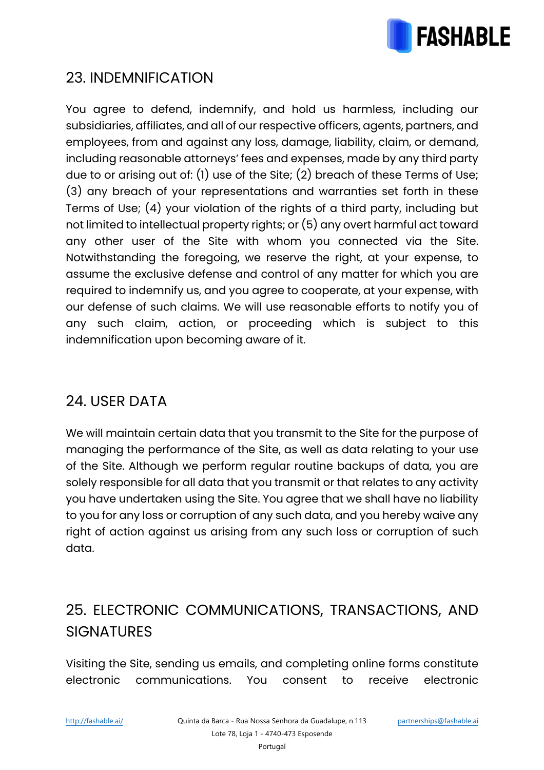

## 23. INDEMNIFICATION

You agree to defend, indemnify, and hold us harmless, including our subsidiaries, affiliates, and all of our respective officers, agents, partners, and employees, from and against any loss, damage, liability, claim, or demand, including reasonable attorneys' fees and expenses, made by any third party due to or arising out of: (1) use of the Site; (2) breach of these Terms of Use; (3) any breach of your representations and warranties set forth in these Terms of Use; (4) your violation of the rights of a third party, including but not limited to intellectual property rights; or (5) any overt harmful act toward any other user of the Site with whom you connected via the Site. Notwithstanding the foregoing, we reserve the right, at your expense, to assume the exclusive defense and control of any matter for which you are required to indemnify us, and you agree to cooperate, at your expense, with our defense of such claims. We will use reasonable efforts to notify you of any such claim, action, or proceeding which is subject to this indemnification upon becoming aware of it.

## 24. USER DATA

We will maintain certain data that you transmit to the Site for the purpose of managing the performance of the Site, as well as data relating to your use of the Site. Although we perform regular routine backups of data, you are solely responsible for all data that you transmit or that relates to any activity you have undertaken using the Site. You agree that we shall have no liability to you for any loss or corruption of any such data, and you hereby waive any right of action against us arising from any such loss or corruption of such data.

# 25. ELECTRONIC COMMUNICATIONS, TRANSACTIONS, AND SIGNATURES

Visiting the Site, sending us emails, and completing online forms constitute electronic communications. You consent to receive electronic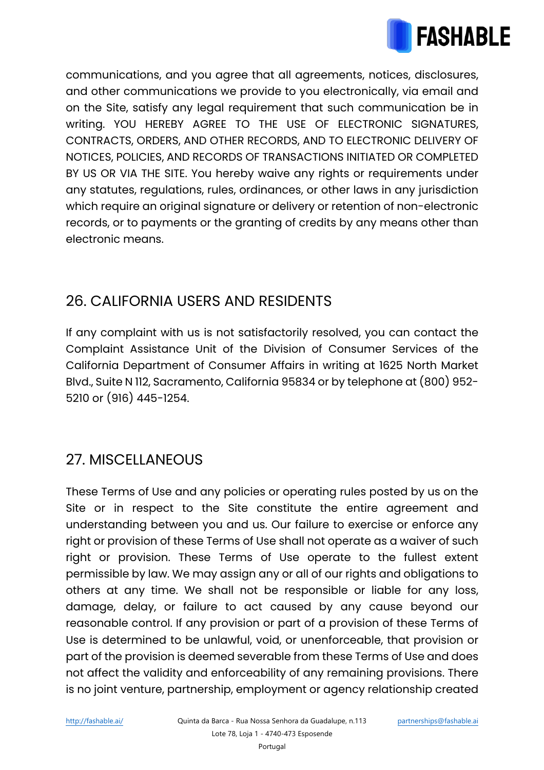

communications, and you agree that all agreements, notices, disclosures, and other communications we provide to you electronically, via email and on the Site, satisfy any legal requirement that such communication be in writing. YOU HEREBY AGREE TO THE USE OF ELECTRONIC SIGNATURES, CONTRACTS, ORDERS, AND OTHER RECORDS, AND TO ELECTRONIC DELIVERY OF NOTICES, POLICIES, AND RECORDS OF TRANSACTIONS INITIATED OR COMPLETED BY US OR VIA THE SITE. You hereby waive any rights or requirements under any statutes, regulations, rules, ordinances, or other laws in any jurisdiction which require an original signature or delivery or retention of non-electronic records, or to payments or the granting of credits by any means other than electronic means.

## 26. CALIFORNIA USERS AND RESIDENTS

If any complaint with us is not satisfactorily resolved, you can contact the Complaint Assistance Unit of the Division of Consumer Services of the California Department of Consumer Affairs in writing at 1625 North Market Blvd., Suite N 112, Sacramento, California 95834 or by telephone at (800) 952- 5210 or (916) 445-1254.

## 27. MISCELLANEOUS

These Terms of Use and any policies or operating rules posted by us on the Site or in respect to the Site constitute the entire agreement and understanding between you and us. Our failure to exercise or enforce any right or provision of these Terms of Use shall not operate as a waiver of such right or provision. These Terms of Use operate to the fullest extent permissible by law. We may assign any or all of our rights and obligations to others at any time. We shall not be responsible or liable for any loss, damage, delay, or failure to act caused by any cause beyond our reasonable control. If any provision or part of a provision of these Terms of Use is determined to be unlawful, void, or unenforceable, that provision or part of the provision is deemed severable from these Terms of Use and does not affect the validity and enforceability of any remaining provisions. There is no joint venture, partnership, employment or agency relationship created